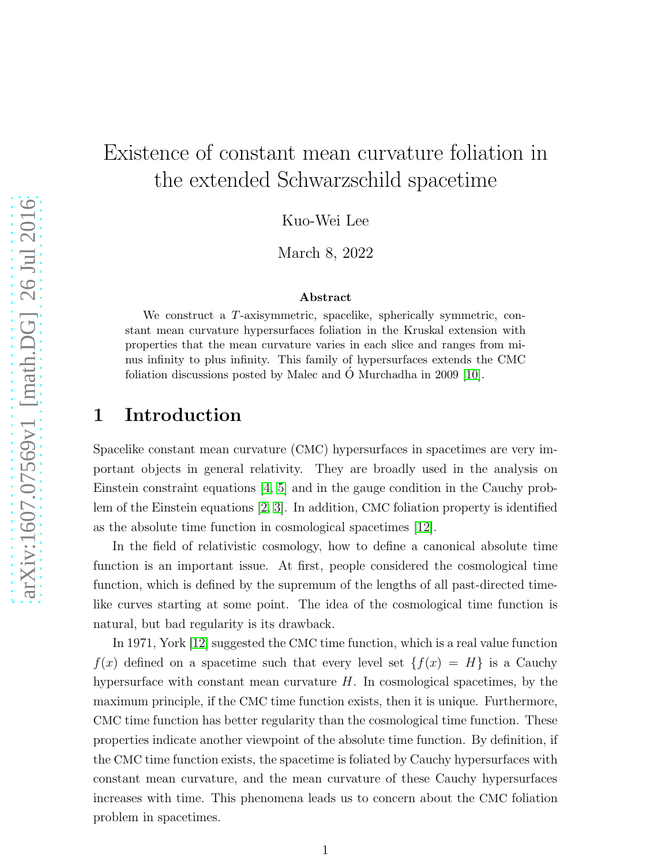# Existence of constant mean curvature foliation in the extended Schwarzschild spacetime

Kuo-Wei Lee

March 8, 2022

#### Abstract

We construct a T-axisymmetric, spacelike, spherically symmetric, constant mean curvature hypersurfaces foliation in the Kruskal extension with properties that the mean curvature varies in each slice and ranges from minus infinity to plus infinity. This family of hypersurfaces extends the CMC foliation discussions posted by Malec and O Murchadha in 2009 [\[10\]](#page-12-0). ´

## 1 Introduction

Spacelike constant mean curvature (CMC) hypersurfaces in spacetimes are very important objects in general relativity. They are broadly used in the analysis on Einstein constraint equations [\[4,](#page-12-1) [5\]](#page-12-2) and in the gauge condition in the Cauchy problem of the Einstein equations [\[2,](#page-12-3) [3\]](#page-12-4). In addition, CMC foliation property is identified as the absolute time function in cosmological spacetimes [\[12\]](#page-12-5).

In the field of relativistic cosmology, how to define a canonical absolute time function is an important issue. At first, people considered the cosmological time function, which is defined by the supremum of the lengths of all past-directed timelike curves starting at some point. The idea of the cosmological time function is natural, but bad regularity is its drawback.

In 1971, York [\[12\]](#page-12-5) suggested the CMC time function, which is a real value function  $f(x)$  defined on a spacetime such that every level set  $\{f(x) = H\}$  is a Cauchy hypersurface with constant mean curvature  $H$ . In cosmological spacetimes, by the maximum principle, if the CMC time function exists, then it is unique. Furthermore, CMC time function has better regularity than the cosmological time function. These properties indicate another viewpoint of the absolute time function. By definition, if the CMC time function exists, the spacetime is foliated by Cauchy hypersurfaces with constant mean curvature, and the mean curvature of these Cauchy hypersurfaces increases with time. This phenomena leads us to concern about the CMC foliation problem in spacetimes.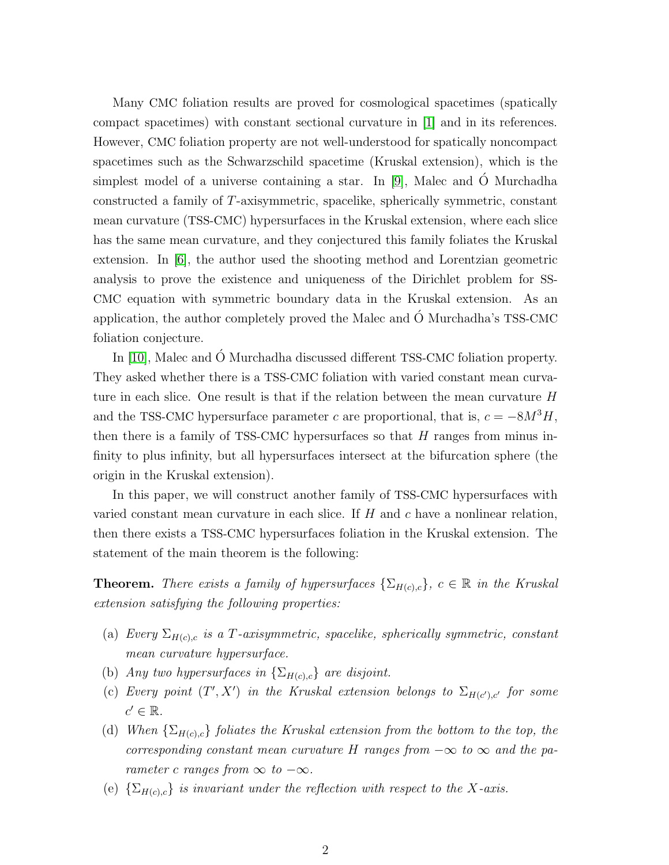Many CMC foliation results are proved for cosmological spacetimes (spatically compact spacetimes) with constant sectional curvature in [\[1\]](#page-12-6) and in its references. However, CMC foliation property are not well-understood for spatically noncompact spacetimes such as the Schwarzschild spacetime (Kruskal extension), which is the simplest model of a universe containing a star. In [\[9\]](#page-12-7), Malec and  $\acute{o}$  Murchadha constructed a family of T-axisymmetric, spacelike, spherically symmetric, constant mean curvature (TSS-CMC) hypersurfaces in the Kruskal extension, where each slice has the same mean curvature, and they conjectured this family foliates the Kruskal extension. In [\[6\]](#page-12-8), the author used the shooting method and Lorentzian geometric analysis to prove the existence and uniqueness of the Dirichlet problem for SS-CMC equation with symmetric boundary data in the Kruskal extension. As an application, the author completely proved the Malec and  $\acute{o}$  Murchadha's  $TSS-CMC$ foliation conjecture.

In [\[10\]](#page-12-0), Malec and Ó Murchadha discussed different TSS-CMC foliation property. They asked whether there is a TSS-CMC foliation with varied constant mean curvature in each slice. One result is that if the relation between the mean curvature H and the TSS-CMC hypersurface parameter c are proportional, that is,  $c = -8M^3H$ , then there is a family of TSS-CMC hypersurfaces so that  $H$  ranges from minus infinity to plus infinity, but all hypersurfaces intersect at the bifurcation sphere (the origin in the Kruskal extension).

In this paper, we will construct another family of TSS-CMC hypersurfaces with varied constant mean curvature in each slice. If  $H$  and  $c$  have a nonlinear relation, then there exists a TSS-CMC hypersurfaces foliation in the Kruskal extension. The statement of the main theorem is the following:

**Theorem.** There exists a family of hypersurfaces  $\{\Sigma_{H(c),c}\}\$ ,  $c \in \mathbb{R}$  in the Kruskal extension satisfying the following properties:

- (a) Every  $\Sigma_{H(c),c}$  is a T-axisymmetric, spacelike, spherically symmetric, constant mean curvature hypersurface.
- (b) Any two hypersurfaces in  $\{\Sigma_{H(c),c}\}\$ are disjoint.
- (c) Every point  $(T', X')$  in the Kruskal extension belongs to  $\Sigma_{H(c'),c'}$  for some  $c' \in \mathbb{R}$ .
- (d) When  $\{\Sigma_{H(c),c}\}\$  foliates the Kruskal extension from the bottom to the top, the corresponding constant mean curvature H ranges from  $-\infty$  to  $\infty$  and the parameter c ranges from  $\infty$  to  $-\infty$ .
- (e)  $\{\Sigma_{H(c),c}\}\$ is invariant under the reflection with respect to the X-axis.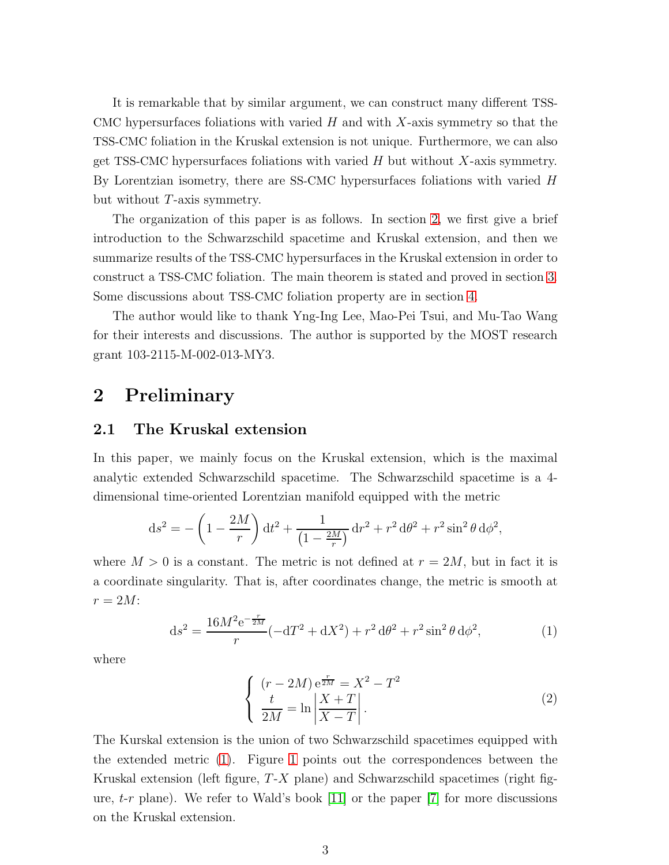It is remarkable that by similar argument, we can construct many different TSS-CMC hypersurfaces foliations with varied  $H$  and with X-axis symmetry so that the TSS-CMC foliation in the Kruskal extension is not unique. Furthermore, we can also get TSS-CMC hypersurfaces foliations with varied  $H$  but without  $X$ -axis symmetry. By Lorentzian isometry, there are SS-CMC hypersurfaces foliations with varied H but without T-axis symmetry.

The organization of this paper is as follows. In section [2,](#page-2-0) we first give a brief introduction to the Schwarzschild spacetime and Kruskal extension, and then we summarize results of the TSS-CMC hypersurfaces in the Kruskal extension in order to construct a TSS-CMC foliation. The main theorem is stated and proved in section [3.](#page-8-0) Some discussions about TSS-CMC foliation property are in section [4.](#page-10-0)

The author would like to thank Yng-Ing Lee, Mao-Pei Tsui, and Mu-Tao Wang for their interests and discussions. The author is supported by the MOST research grant 103-2115-M-002-013-MY3.

### <span id="page-2-0"></span>2 Preliminary

### 2.1 The Kruskal extension

In this paper, we mainly focus on the Kruskal extension, which is the maximal analytic extended Schwarzschild spacetime. The Schwarzschild spacetime is a 4 dimensional time-oriented Lorentzian manifold equipped with the metric

$$
ds^{2} = -\left(1 - \frac{2M}{r}\right)dt^{2} + \frac{1}{\left(1 - \frac{2M}{r}\right)}dr^{2} + r^{2} d\theta^{2} + r^{2} \sin^{2} \theta d\phi^{2},
$$

where  $M > 0$  is a constant. The metric is not defined at  $r = 2M$ , but in fact it is a coordinate singularity. That is, after coordinates change, the metric is smooth at  $r = 2M$ :

$$
ds^{2} = \frac{16M^{2}e^{-\frac{r}{2M}}}{r}(-dT^{2} + dX^{2}) + r^{2} d\theta^{2} + r^{2} \sin^{2} \theta d\phi^{2},
$$
 (1)

where

<span id="page-2-2"></span><span id="page-2-1"></span>
$$
\begin{cases}\n(r - 2M) e^{\frac{r}{2M}} = X^2 - T^2 \\
\frac{t}{2M} = \ln \left| \frac{X + T}{X - T} \right|.\n\end{cases}
$$
\n(2)

The Kurskal extension is the union of two Schwarzschild spacetimes equipped with the extended metric [\(1\)](#page-2-1). Figure [1](#page-3-0) points out the correspondences between the Kruskal extension (left figure,  $T-X$  plane) and Schwarzschild spacetimes (right figure,  $t-r$  plane). We refer to Wald's book [\[11\]](#page-12-9) or the paper [\[7\]](#page-12-10) for more discussions on the Kruskal extension.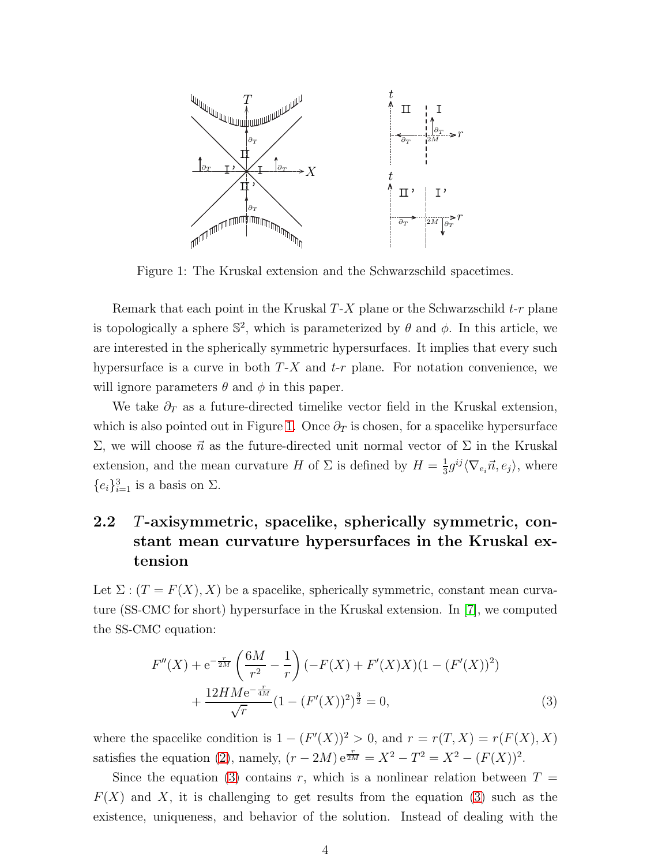

<span id="page-3-0"></span>Figure 1: The Kruskal extension and the Schwarzschild spacetimes.

Remark that each point in the Kruskal  $T-X$  plane or the Schwarzschild  $t-r$  plane is topologically a sphere  $\mathbb{S}^2$ , which is parameterized by  $\theta$  and  $\phi$ . In this article, we are interested in the spherically symmetric hypersurfaces. It implies that every such hypersurface is a curve in both  $T-X$  and  $t-r$  plane. For notation convenience, we will ignore parameters  $\theta$  and  $\phi$  in this paper.

We take  $\partial_T$  as a future-directed timelike vector field in the Kruskal extension, which is also pointed out in Figure [1.](#page-3-0) Once  $\partial_T$  is chosen, for a spacelike hypersurface  $\Sigma$ , we will choose  $\vec{n}$  as the future-directed unit normal vector of  $\Sigma$  in the Kruskal extension, and the mean curvature H of  $\Sigma$  is defined by  $H = \frac{1}{3}$  $\frac{1}{3}g^{ij}\langle\nabla_{e_i}\vec{n},e_j\rangle$ , where  ${e_i}_{i=1}^3$  is a basis on  $\Sigma$ .

## 2.2 T-axisymmetric, spacelike, spherically symmetric, constant mean curvature hypersurfaces in the Kruskal extension

Let  $\Sigma$  :  $(T = F(X), X)$  be a spacelike, spherically symmetric, constant mean curvature (SS-CMC for short) hypersurface in the Kruskal extension. In [\[7\]](#page-12-10), we computed the SS-CMC equation:

<span id="page-3-1"></span>
$$
F''(X) + e^{-\frac{r}{2M}} \left(\frac{6M}{r^2} - \frac{1}{r}\right) \left(-F(X) + F'(X)X\right) (1 - (F'(X))^2) + \frac{12HMe^{-\frac{r}{4M}}}{\sqrt{r}} (1 - (F'(X))^2)^{\frac{3}{2}} = 0,
$$
\n(3)

where the spacelike condition is  $1 - (F'(X))^2 > 0$ , and  $r = r(T, X) = r(F(X), X)$ satisfies the equation [\(2\)](#page-2-2), namely,  $(r - 2M) e^{\frac{r}{2M}} = X^2 - T^2 = X^2 - (F(X))^2$ .

Since the equation [\(3\)](#page-3-1) contains r, which is a nonlinear relation between  $T =$  $F(X)$  and X, it is challenging to get results from the equation [\(3\)](#page-3-1) such as the existence, uniqueness, and behavior of the solution. Instead of dealing with the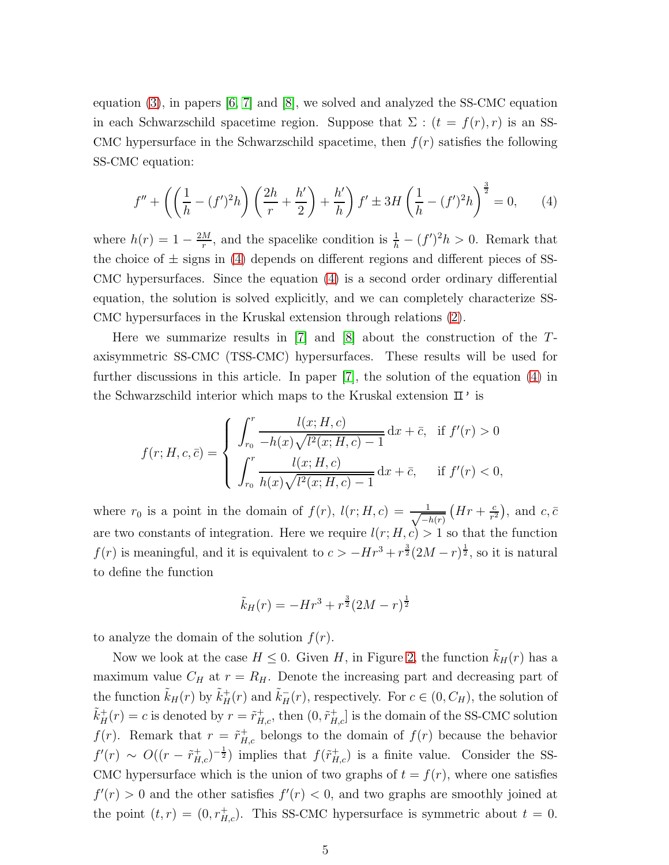equation  $(3)$ , in papers  $[6, 7]$  $[6, 7]$  and  $[8]$ , we solved and analyzed the SS-CMC equation in each Schwarzschild spacetime region. Suppose that  $\Sigma$  :  $(t = f(r), r)$  is an SS-CMC hypersurface in the Schwarzschild spacetime, then  $f(r)$  satisfies the following SS-CMC equation:

<span id="page-4-0"></span>
$$
f'' + \left( \left( \frac{1}{h} - (f')^2 h \right) \left( \frac{2h}{r} + \frac{h'}{2} \right) + \frac{h'}{h} \right) f' \pm 3H \left( \frac{1}{h} - (f')^2 h \right)^{\frac{3}{2}} = 0, \qquad (4)
$$

where  $h(r) = 1 - \frac{2M}{r}$  $\frac{M}{r}$ , and the spacelike condition is  $\frac{1}{h} - (f')^2 h > 0$ . Remark that the choice of  $\pm$  signs in [\(4\)](#page-4-0) depends on different regions and different pieces of SS-CMC hypersurfaces. Since the equation [\(4\)](#page-4-0) is a second order ordinary differential equation, the solution is solved explicitly, and we can completely characterize SS-CMC hypersurfaces in the Kruskal extension through relations [\(2\)](#page-2-2).

Here we summarize results in  $[7]$  and  $[8]$  about the construction of the Taxisymmetric SS-CMC (TSS-CMC) hypersurfaces. These results will be used for further discussions in this article. In paper [\[7\]](#page-12-10), the solution of the equation [\(4\)](#page-4-0) in the Schwarzschild interior which maps to the Kruskal extension  $\mathbb{I}^{\prime}$  is

$$
f(r; H, c, \bar{c}) = \begin{cases} \int_{r_0}^r \frac{l(x; H, c)}{-h(x)\sqrt{l^2(x; H, c) - 1}} dx + \bar{c}, & \text{if } f'(r) > 0\\ \int_{r_0}^r \frac{l(x; H, c)}{h(x)\sqrt{l^2(x; H, c) - 1}} dx + \bar{c}, & \text{if } f'(r) < 0, \end{cases}
$$

where  $r_0$  is a point in the domain of  $f(r)$ ,  $l(r; H, c) = \frac{1}{\sqrt{1-r}}$  $-h(r)$  $\left( Hr + \frac{c}{r^2} \right)$  $\frac{c}{r^2}$ , and  $c, \bar{c}$ are two constants of integration. Here we require  $l(r; H, c) > 1$  so that the function  $f(r)$  is meaningful, and it is equivalent to  $c > -Hr^3 + r^{\frac{3}{2}}(2M - r)^{\frac{1}{2}}$ , so it is natural to define the function

$$
\tilde{k}_H(r) = -Hr^3 + r^{\frac{3}{2}}(2M - r)^{\frac{1}{2}}
$$

to analyze the domain of the solution  $f(r)$ .

Now we look at the case  $H \leq 0$ . Given H, in Figure [2,](#page-5-0) the function  $k_H(r)$  has a maximum value  $C_H$  at  $r = R_H$ . Denote the increasing part and decreasing part of the function  $\tilde{k}_H(r)$  by  $\tilde{k}_H^+(r)$  and  $\tilde{k}_H^-(r)$ , respectively. For  $c \in (0, C_H)$ , the solution of  $\tilde{k}_{H}^{+}(r) = c$  is denoted by  $r = \tilde{r}_{H,c}^{+}$ , then  $(0, \tilde{r}_{H,c}^{+}]$  is the domain of the SS-CMC solution  $f(r)$ . Remark that  $r = \tilde{r}_{H,c}^+$  belongs to the domain of  $f(r)$  because the behavior  $f'(r) \sim O((r - \tilde{r}_{H,c}^+)^{-\frac{1}{2}})$  implies that  $f(\tilde{r}_{H,c}^+)$  is a finite value. Consider the SS-CMC hypersurface which is the union of two graphs of  $t = f(r)$ , where one satisfies  $f'(r) > 0$  and the other satisfies  $f'(r) < 0$ , and two graphs are smoothly joined at the point  $(t, r) = (0, r_{H,c}^+)$ . This SS-CMC hypersurface is symmetric about  $t = 0$ .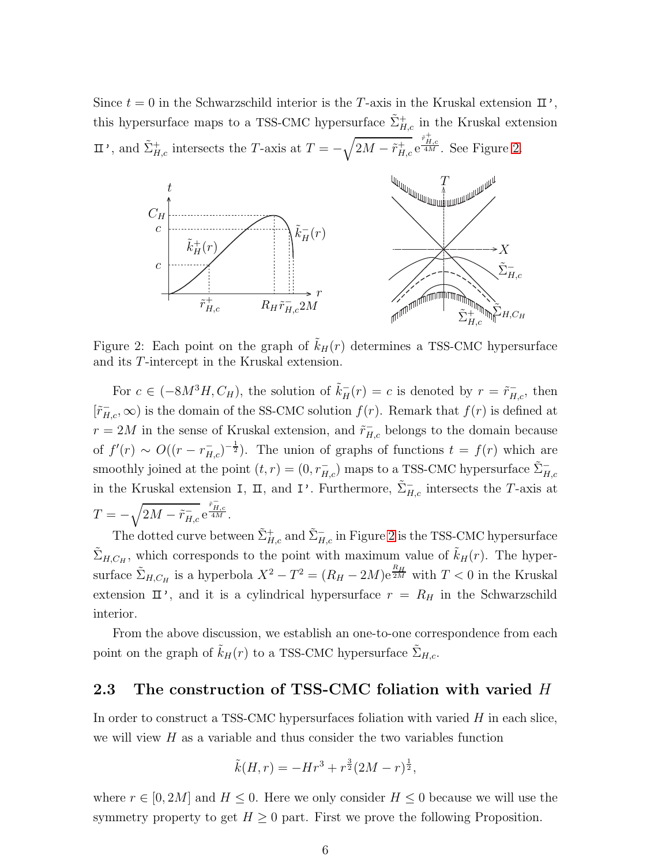#### PSfrag replacements

Since  $t = 0$  in the Schwarzschild interior is the T-axis in the Kruskal extension  $\mathbb{I}$ ', this hypersurface maps to a TSS-CMC hypersurface  $\tilde{\Sigma}_{H,c}^{+}$  in the Kruskal extension  $\mathbb{I}$ ', and  $\tilde{\Sigma}_{H,c}^{+}$  intersects the T-axis at  $T = -\sqrt{2M - \tilde{r}_{H,c}^{+}} e^{\frac{\tilde{r}_{H,c}^{+}}{4M}}$ . See Figure [2.](#page-5-0)



<span id="page-5-0"></span>Figure 2: Each point on the graph of  $k_H(r)$  determines a TSS-CMC hypersurface and its T-intercept in the Kruskal extension.

For  $c \in (-8M^3H, C_H)$ , the solution of  $\tilde{k}_H^-(r) = c$  is denoted by  $r = \tilde{r}_{H,c}^-,$  then  $[\tilde{r}_{H,c}^{-}, \infty)$  is the domain of the SS-CMC solution  $f(r)$ . Remark that  $f(r)$  is defined at  $r = 2M$  in the sense of Kruskal extension, and  $\tilde{r}_{H,c}$  belongs to the domain because of  $f'(r) \sim O((r - r_{H,c}^{-})^{-\frac{1}{2}})$ . The union of graphs of functions  $t = f(r)$  which are smoothly joined at the point  $(t, r) = (0, r_{H,c}^-)$  maps to a TSS-CMC hypersurface  $\tilde{\Sigma}_{H,c}^$ in the Kruskal extension I,  $\Pi$ , and I'. Furthermore,  $\tilde{\Sigma}_{H,c}^-$  intersects the T-axis at  $T=-\sqrt{2M-\tilde{r}_{H,c}^{-}}\,\mathrm{e}^{\frac{\tilde{r}_{H,c}^{-}}{4M}}.$ 

The dotted curve between  $\tilde{\Sigma}_{H,c}^{+}$  and  $\tilde{\Sigma}_{H,c}^{-}$  in Figure [2](#page-5-0) is the TSS-CMC hypersurface  $\tilde{\Sigma}_{H,C_H}$ , which corresponds to the point with maximum value of  $\tilde{k}_H(r)$ . The hypersurface  $\tilde{\Sigma}_{H,C_H}$  is a hyperbola  $X^2 - T^2 = (R_H - 2M)e^{\frac{R_H}{2M}}$  with  $T < 0$  in the Kruskal extension  $\mathbb{I}'$ , and it is a cylindrical hypersurface  $r = R_H$  in the Schwarzschild interior.

From the above discussion, we establish an one-to-one correspondence from each point on the graph of  $\tilde{k}_H(r)$  to a TSS-CMC hypersurface  $\tilde{\Sigma}_{H,c}$ .

### <span id="page-5-1"></span>2.3 The construction of TSS-CMC foliation with varied H

In order to construct a TSS-CMC hypersurfaces foliation with varied  $H$  in each slice, we will view  $H$  as a variable and thus consider the two variables function

$$
\tilde{k}(H,r) = -Hr^3 + r^{\frac{3}{2}}(2M - r)^{\frac{1}{2}},
$$

where  $r \in [0, 2M]$  and  $H \leq 0$ . Here we only consider  $H \leq 0$  because we will use the symmetry property to get  $H \geq 0$  part. First we prove the following Proposition.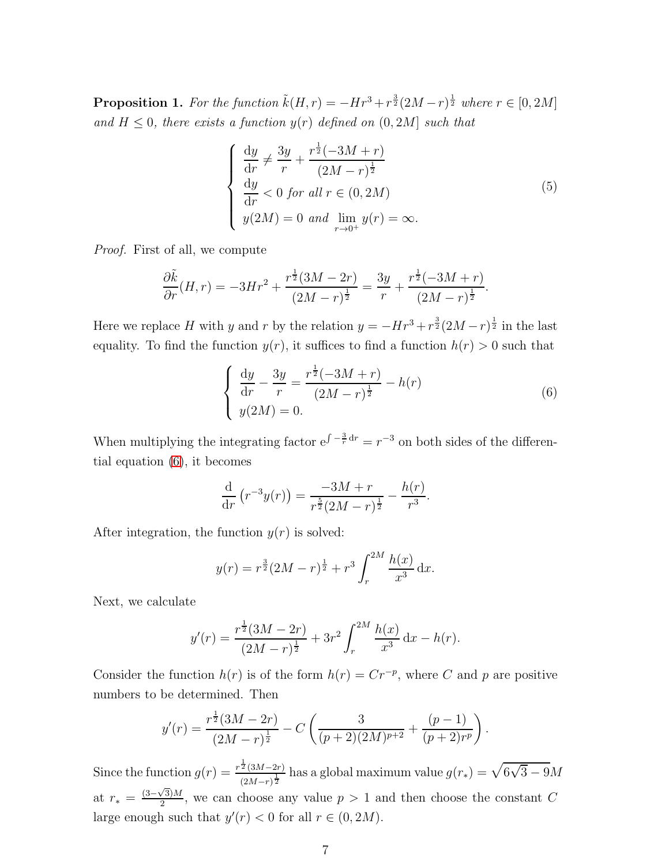<span id="page-6-1"></span>**Proposition 1.** For the function  $\tilde{k}(H,r) = -Hr^3 + r^{\frac{3}{2}}(2M-r)^{\frac{1}{2}}$  where  $r \in [0, 2M]$ and  $H \leq 0$ , there exists a function  $y(r)$  defined on  $(0, 2M]$  such that

<span id="page-6-2"></span>
$$
\begin{cases}\n\frac{dy}{dr} \neq \frac{3y}{r} + \frac{r^{\frac{1}{2}}(-3M+r)}{(2M-r)^{\frac{1}{2}}} \\
\frac{dy}{dr} < 0 \text{ for all } r \in (0, 2M) \\
y(2M) = 0 \text{ and } \lim_{r \to 0^{+}} y(r) = \infty.\n\end{cases}
$$
\n(5)

Proof. First of all, we compute

$$
\frac{\partial \tilde{k}}{\partial r}(H,r) = -3Hr^2 + \frac{r^{\frac{1}{2}}(3M - 2r)}{(2M - r)^{\frac{1}{2}}} = \frac{3y}{r} + \frac{r^{\frac{1}{2}}(-3M + r)}{(2M - r)^{\frac{1}{2}}}.
$$

Here we replace H with y and r by the relation  $y = -Hr^3 + r^{\frac{3}{2}}(2M - r)^{\frac{1}{2}}$  in the last equality. To find the function  $y(r)$ , it suffices to find a function  $h(r) > 0$  such that

<span id="page-6-0"></span>
$$
\begin{cases} \frac{dy}{dr} - \frac{3y}{r} = \frac{r^{\frac{1}{2}}(-3M+r)}{(2M-r)^{\frac{1}{2}}} - h(r) \\ y(2M) = 0. \end{cases}
$$
(6)

When multiplying the integrating factor  $e^{\int -\frac{3}{r} dr} = r^{-3}$  on both sides of the differential equation [\(6\)](#page-6-0), it becomes

$$
\frac{\mathrm{d}}{\mathrm{d}r}\left(r^{-3}y(r)\right) = \frac{-3M+r}{r^{\frac{5}{2}}(2M-r)^{\frac{1}{2}}} - \frac{h(r)}{r^3}.
$$

After integration, the function  $y(r)$  is solved:

$$
y(r) = r^{\frac{3}{2}}(2M - r)^{\frac{1}{2}} + r^3 \int_r^{2M} \frac{h(x)}{x^3} dx.
$$

Next, we calculate

$$
y'(r) = \frac{r^{\frac{1}{2}}(3M - 2r)}{(2M - r)^{\frac{1}{2}}} + 3r^2 \int_r^{2M} \frac{h(x)}{x^3} dx - h(r).
$$

Consider the function  $h(r)$  is of the form  $h(r) = Cr^{-p}$ , where C and p are positive numbers to be determined. Then

$$
y'(r) = \frac{r^{\frac{1}{2}}(3M - 2r)}{(2M - r)^{\frac{1}{2}}} - C\left(\frac{3}{(p+2)(2M)^{p+2}} + \frac{(p-1)}{(p+2)r^p}\right).
$$

Since the function  $g(r) = \frac{r^{\frac{1}{2}}(3M-2r)}{2r^{\frac{1}{2}}}$  $\frac{\frac{1}{2}(3M-2r)}{(2M-r)^{\frac{1}{2}}}$  has a global maximum value  $g(r_*) = \sqrt{6\sqrt{3} - 9M}$ at  $r_* = \frac{(3-\sqrt{3})M}{2}$  $\frac{\sqrt{3}M}{2}$ , we can choose any value  $p > 1$  and then choose the constant C large enough such that  $y'(r) < 0$  for all  $r \in (0, 2M)$ .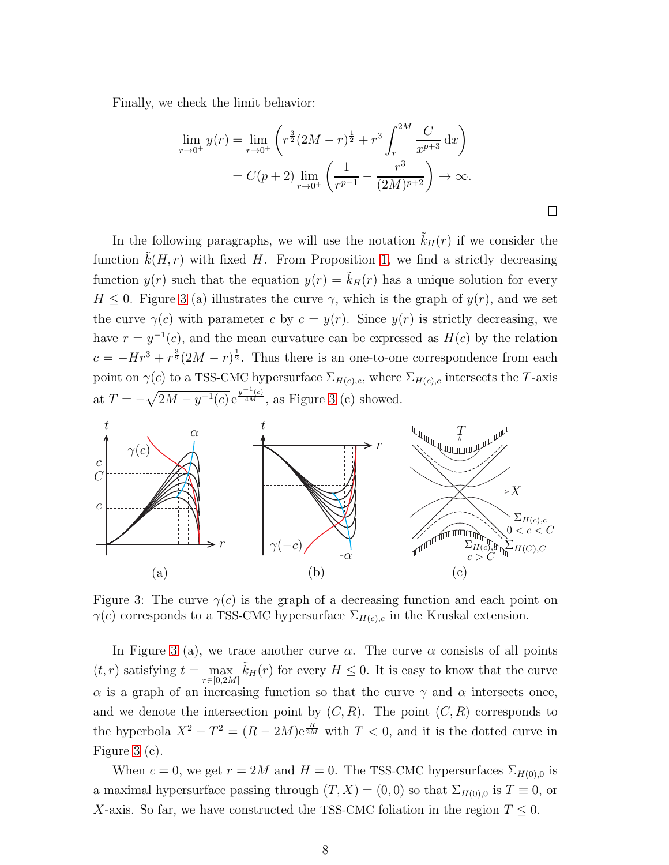Finally, we check the limit behavior:

$$
\lim_{r \to 0^+} y(r) = \lim_{r \to 0^+} \left( r^{\frac{3}{2}} (2M - r)^{\frac{1}{2}} + r^3 \int_r^{2M} \frac{C}{x^{p+3}} dx \right)
$$
  
=  $C(p+2) \lim_{r \to 0^+} \left( \frac{1}{r^{p-1}} - \frac{r^3}{(2M)^{p+2}} \right) \to \infty.$ 

 $\Box$ 

In the following paragraphs, we will use the notation  $k_H(r)$  if we consider the function  $k(H, r)$  with fixed H. From Proposition [1,](#page-6-1) we find a strictly decreasing function  $y(r)$  such that the equation  $y(r) = \tilde{k}_H(r)$  has a unique solution for every rag replacements  $H \leq 0$ . Figure [3](#page-7-0) (a) illustrates the curve  $\gamma$ , which is the graph of  $y(r)$ , and we set

the curve  $\gamma(c)$  with parameter c by  $c = y(r)$ . Since  $y(r)$  is strictly decreasing, we have  $r = y^{-1}(c)$ , and the mean curvature can be expressed as  $H(c)$  by the relation  $c = -Hr^3 + r^{\frac{3}{2}}(2M - r)^{\frac{1}{2}}$ . Thus there is an one-to-one correspondence from each point on  $\gamma(c)$  to a TSS-CMC hypersurface  $\Sigma_{H(c),c}$ , where  $\Sigma_{H(c),c}$  intersects the T-axis at  $T = -\sqrt{2M - y^{-1}(c)} e^{\frac{y^{-1}(c)}{4M}}$ , as Figure [3](#page-7-0) (c) showed.



<span id="page-7-0"></span>Figure 3: The curve  $\gamma(c)$  is the graph of a decreasing function and each point on  $\gamma(c)$  corresponds to a TSS-CMC hypersurface  $\Sigma_{H(c),c}$  in the Kruskal extension.

In Figure [3](#page-7-0) (a), we trace another curve  $\alpha$ . The curve  $\alpha$  consists of all points  $(t, r)$  satisfying  $t = \max$  $\max_{r \in [0,2M]} \tilde{k}_H(r)$  for every  $H \leq 0$ . It is easy to know that the curve  $\alpha$  is a graph of an increasing function so that the curve  $\gamma$  and  $\alpha$  intersects once, and we denote the intersection point by  $(C, R)$ . The point  $(C, R)$  corresponds to the hyperbola  $X^2 - T^2 = (R - 2M)e^{\frac{R}{2M}}$  with  $T < 0$ , and it is the dotted curve in Figure [3](#page-7-0) (c).

When  $c = 0$ , we get  $r = 2M$  and  $H = 0$ . The TSS-CMC hypersurfaces  $\Sigma_{H(0),0}$  is a maximal hypersurface passing through  $(T, X) = (0, 0)$  so that  $\Sigma_{H(0),0}$  is  $T \equiv 0$ , or X-axis. So far, we have constructed the TSS-CMC foliation in the region  $T \leq 0$ .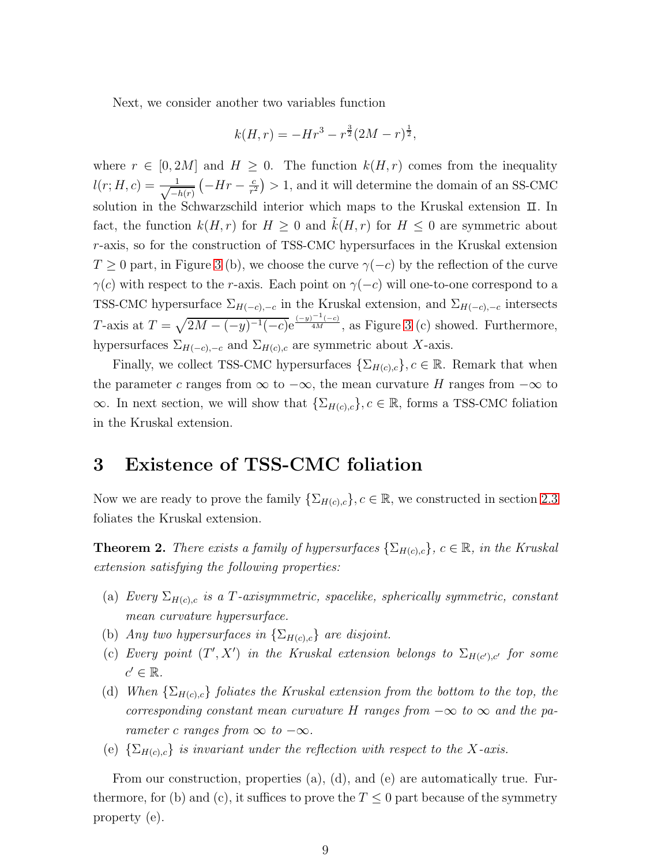Next, we consider another two variables function

$$
k(H,r) = -Hr^3 - r^{\frac{3}{2}}(2M - r)^{\frac{1}{2}},
$$

where  $r \in [0, 2M]$  and  $H \geq 0$ . The function  $k(H, r)$  comes from the inequality  $l(r; H, c) = \frac{1}{\sqrt{-1}}$  $-h(r)$  $\left(-Hr-\frac{c}{r^2}\right)$  $\left(\frac{c}{r^2}\right) > 1$ , and it will determine the domain of an SS-CMC solution in the Schwarzschild interior which maps to the Kruskal extension  $\mathbb{I}$ . In fact, the function  $k(H, r)$  for  $H \geq 0$  and  $k(H, r)$  for  $H \leq 0$  are symmetric about r-axis, so for the construction of TSS-CMC hypersurfaces in the Kruskal extension  $T \geq 0$  part, in Figure [3](#page-7-0) (b), we choose the curve  $\gamma(-c)$  by the reflection of the curve  $\gamma(c)$  with respect to the r-axis. Each point on  $\gamma(-c)$  will one-to-one correspond to a TSS-CMC hypersurface  $\Sigma_{H(-c),-c}$  in the Kruskal extension, and  $\Sigma_{H(-c),-c}$  intersects T-axis at  $T = \sqrt{2M - (-y)^{-1}(-c)}e^{\frac{(-y)^{-1}(-c)}{4M}}$ , as Figure [3](#page-7-0) (c) showed. Furthermore, hypersurfaces  $\Sigma_{H(-c),-c}$  and  $\Sigma_{H(c),c}$  are symmetric about X-axis.

Finally, we collect TSS-CMC hypersurfaces  $\{\Sigma_{H(c),c}\}\$ ,  $c \in \mathbb{R}$ . Remark that when the parameter c ranges from  $\infty$  to  $-\infty$ , the mean curvature H ranges from  $-\infty$  to  $\infty$ . In next section, we will show that  $\{\Sigma_{H(c),c}\}, c \in \mathbb{R}$ , forms a TSS-CMC foliation in the Kruskal extension.

# <span id="page-8-0"></span>3 Existence of TSS-CMC foliation

Now we are ready to prove the family  $\{\Sigma_{H(c),c}\}, c \in \mathbb{R}$ , we constructed in section [2.3](#page-5-1) foliates the Kruskal extension.

**Theorem 2.** There exists a family of hypersurfaces  $\{\Sigma_{H(c),c}\}\$ ,  $c \in \mathbb{R}$ , in the Kruskal extension satisfying the following properties:

- (a) Every  $\Sigma_{H(c),c}$  is a T-axisymmetric, spacelike, spherically symmetric, constant mean curvature hypersurface.
- (b) Any two hypersurfaces in  $\{\Sigma_{H(c),c}\}\$ are disjoint.
- (c) Every point  $(T', X')$  in the Kruskal extension belongs to  $\Sigma_{H(c'),c'}$  for some  $c' \in \mathbb{R}$ .
- (d) When  $\{\Sigma_{H(c),c}\}\$  foliates the Kruskal extension from the bottom to the top, the corresponding constant mean curvature H ranges from  $-\infty$  to  $\infty$  and the parameter c ranges from  $\infty$  to  $-\infty$ .
- (e)  $\{\Sigma_{H(c),c}\}\$ is invariant under the reflection with respect to the X-axis.

From our construction, properties (a), (d), and (e) are automatically true. Furthermore, for (b) and (c), it suffices to prove the  $T \leq 0$  part because of the symmetry property (e).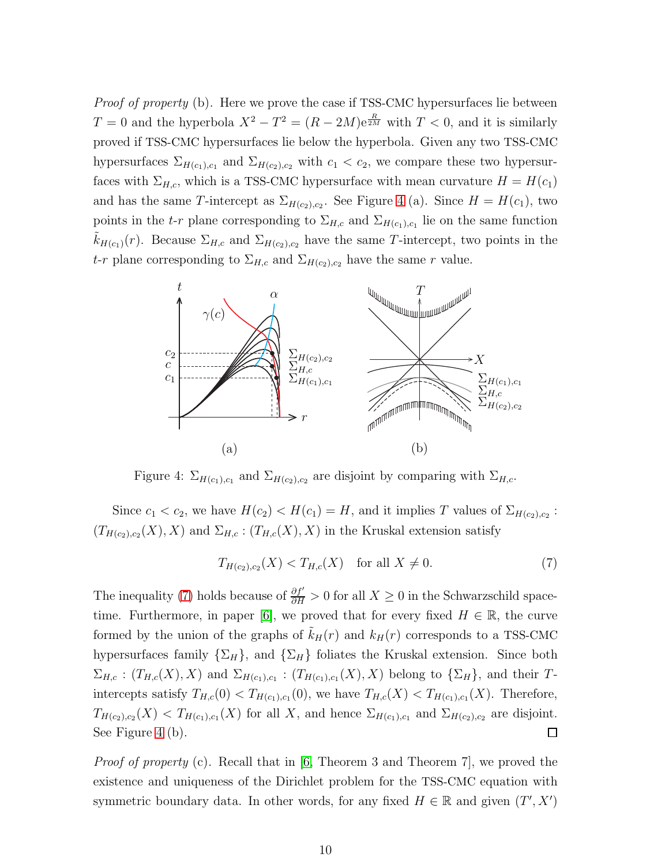Proof of property (b). Here we prove the case if TSS-CMC hypersurfaces lie between  $T = 0$  and the hyperbola  $X^2 - T^2 = (R - 2M)e^{\frac{R}{2M}}$  with  $T < 0$ , and it is similarly proved if TSS-CMC hypersurfaces lie below the hyperbola. Given any two TSS-CMC

PSfrag **replacements**  $\Sigma_{H(c_1),c_1}$  and  $\Sigma_{H(c_2),c_2}$  with  $c_1 < c_2$ , we compare these two hypersurfaces with  $\Sigma_{H,c}$ , which is a TSS-CMC hypersurface with mean curvature  $H = H(c_1)$ and has the same T-intercept as  $\Sigma_{H(c_2),c_2}$ . See Figure [4](#page-9-0) (a). Since  $H = H(c_1)$ , two points in the t-r plane corresponding to  $\Sigma_{H,c}$  and  $\Sigma_{H(c_1),c_1}$  lie on the same function  $k_{H(c_1)}(r)$ . Because  $\Sigma_{H,c}$  and  $\Sigma_{H(c_2),c_2}$  have the same T-intercept, two points in the t-r plane corresponding to  $\Sigma_{H,c}$  and  $\Sigma_{H(c_2),c_2}$  have the same r value.



<span id="page-9-0"></span>Figure 4:  $\Sigma_{H(c_1),c_1}$  and  $\Sigma_{H(c_2),c_2}$  are disjoint by comparing with  $\Sigma_{H,c}$ .

Since  $c_1 < c_2$ , we have  $H(c_2) < H(c_1) = H$ , and it implies T values of  $\Sigma_{H(c_2),c_2}$ :  $(T_{H(c_2),c_2}(X), X)$  and  $\Sigma_{H,c}$ :  $(T_{H,c}(X), X)$  in the Kruskal extension satisfy

<span id="page-9-1"></span>
$$
T_{H(c_2),c_2}(X) < T_{H,c}(X) \quad \text{for all } X \neq 0. \tag{7}
$$

The inequality [\(7\)](#page-9-1) holds because of  $\frac{\partial f'}{\partial H} > 0$  for all  $X \ge 0$  in the Schwarzschild space-time. Furthermore, in paper [\[6\]](#page-12-8), we proved that for every fixed  $H \in \mathbb{R}$ , the curve formed by the union of the graphs of  $k_H(r)$  and  $k_H(r)$  corresponds to a TSS-CMC hypersurfaces family  $\{\Sigma_H\}$ , and  $\{\Sigma_H\}$  foliates the Kruskal extension. Since both  $\Sigma_{H,c}$ :  $(T_{H,c}(X), X)$  and  $\Sigma_{H(c_1),c_1}$ :  $(T_{H(c_1),c_1}(X), X)$  belong to  $\{\Sigma_H\}$ , and their Tintercepts satisfy  $T_{H,c}(0) < T_{H(c_1),c_1}(0)$ , we have  $T_{H,c}(X) < T_{H(c_1),c_1}(X)$ . Therefore,  $T_{H(c_2),c_2}(X) < T_{H(c_1),c_1}(X)$  for all X, and hence  $\Sigma_{H(c_1),c_1}$  and  $\Sigma_{H(c_2),c_2}$  are disjoint. See Figure [4](#page-9-0) (b). □

*Proof of property* (c). Recall that in [\[6,](#page-12-8) Theorem 3 and Theorem 7], we proved the existence and uniqueness of the Dirichlet problem for the TSS-CMC equation with symmetric boundary data. In other words, for any fixed  $H \in \mathbb{R}$  and given  $(T', X')$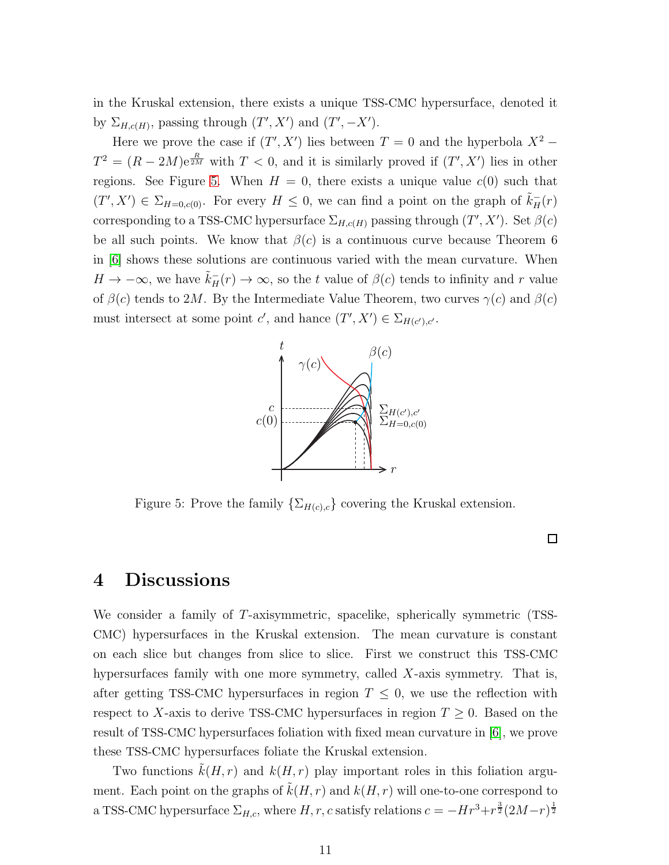in the Kruskal extension, there exists a unique TSS-CMC hypersurface, denoted it by  $\Sigma_{H,c(H)}$ , passing through  $(T', X')$  and  $(T', -X')$ .

Here we prove the case if  $(T', X')$  lies between  $T = 0$  and the hyperbola  $X^2$  –  $T^2 = (R - 2M)e^{\frac{R}{2M}}$  with  $T < 0$ , and it is similarly proved if  $(T', X')$  lies in other regions. See Figure [5.](#page-10-1) When  $H = 0$ , there exists a unique value  $c(0)$  such that  $(T', X') \in \Sigma_{H=0, c(0)}$ . For every  $H \leq 0$ , we can find a point on the graph of  $\tilde{k}_{H}^{-}(r)$ corresponding to a TSS-CMC hypersurface  $\Sigma_{H,c(H)}$  passing through  $(T', X')$ . Set  $\beta(c)$ be all such points. We know that  $\beta(c)$  is a continuous curve because Theorem 6 in [\[6\]](#page-12-8) shows these solutions are continuous varied with the mean curvature. When  $H \to -\infty$ , we have  $\tilde{k}_{H}^{-}(r) \to \infty$ , so the t value of  $\beta(c)$  tends to infinity and r value of  $\beta(c)$  tends to 2M. By the Intermediate Value Theorem, two curves  $\gamma(c)$  and  $\beta(c)$ must intersect at subsequents c', and hance  $(T', X') \in \Sigma_{H(c'), c'}$ .



<span id="page-10-1"></span>Figure 5: Prove the family  $\{\Sigma_{H(c),c}\}$  covering the Kruskal extension.

 $\Box$ 

### <span id="page-10-0"></span>4 Discussions

We consider a family of T-axisymmetric, spacelike, spherically symmetric (TSS-CMC) hypersurfaces in the Kruskal extension. The mean curvature is constant on each slice but changes from slice to slice. First we construct this TSS-CMC hypersurfaces family with one more symmetry, called X-axis symmetry. That is, after getting TSS-CMC hypersurfaces in region  $T \leq 0$ , we use the reflection with respect to X-axis to derive TSS-CMC hypersurfaces in region  $T \geq 0$ . Based on the result of TSS-CMC hypersurfaces foliation with fixed mean curvature in [\[6\]](#page-12-8), we prove these TSS-CMC hypersurfaces foliate the Kruskal extension.

Two functions  $\tilde{k}(H, r)$  and  $k(H, r)$  play important roles in this foliation argument. Each point on the graphs of  $k(H, r)$  and  $k(H, r)$  will one-to-one correspond to a TSS-CMC hypersurface  $\Sigma_{H,c}$ , where  $H, r, c$  satisfy relations  $c = -Hr^3 + r^{\frac{3}{2}}(2M-r)^{\frac{1}{2}}$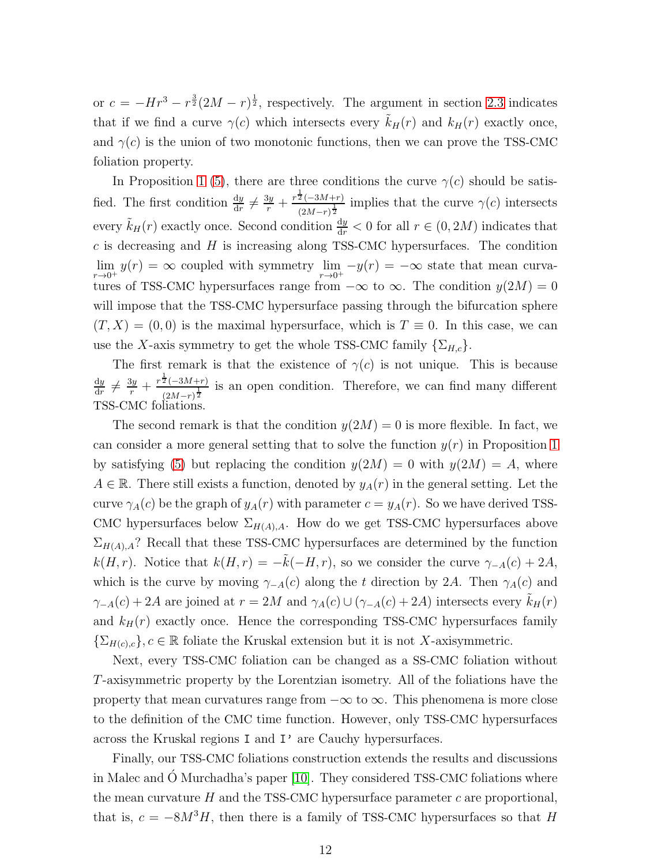or  $c = -Hr^3 - r^{\frac{3}{2}}(2M - r)^{\frac{1}{2}}$ , respectively. The argument in section [2.3](#page-5-1) indicates that if we find a curve  $\gamma(c)$  which intersects every  $\tilde{k}_H(r)$  and  $k_H(r)$  exactly once, and  $\gamma(c)$  is the union of two monotonic functions, then we can prove the TSS-CMC foliation property.

In Proposition [1](#page-6-1) [\(5\)](#page-6-2), there are three conditions the curve  $\gamma(c)$  should be satisfied. The first condition  $\frac{dy}{dr} \neq \frac{3y}{r} + \frac{r^{\frac{1}{2}}(-3M+r)}{(2M-r)^{\frac{1}{2}}}$  $\frac{2(-3M+r)}{(2M-r)^{\frac{1}{2}}}$  implies that the curve  $\gamma(c)$  intersects every  $\tilde{k}_H(r)$  exactly once. Second condition  $\frac{dy}{dr} < 0$  for all  $r \in (0, 2M)$  indicates that  $c$  is decreasing and  $H$  is increasing along TSS-CMC hypersurfaces. The condition lim  $\lim_{r\to 0^+} y(r) = \infty$  coupled with symmetry  $\lim_{r\to 0^+} -y(r) = -\infty$  state that mean curvatures of TSS-CMC hypersurfaces range from  $-\infty$  to  $\infty$ . The condition  $y(2M) = 0$ will impose that the TSS-CMC hypersurface passing through the bifurcation sphere  $(T, X) = (0, 0)$  is the maximal hypersurface, which is  $T \equiv 0$ . In this case, we can use the X-axis symmetry to get the whole TSS-CMC family  $\{\Sigma_{H,c}\}.$ 

The first remark is that the existence of  $\gamma(c)$  is not unique. This is because  $_{\rm dy}$  $\frac{dy}{dr} \neq \frac{3y}{r} + \frac{r^{\frac{1}{2}}(-3M+r)}{(2M-r)^{\frac{1}{2}}}$  $\frac{2(-3M+r)}{(2M-r)^{\frac{1}{2}}}$  is an open condition. Therefore, we can find many different TSS-CMC foliations.

The second remark is that the condition  $y(2M) = 0$  is more flexible. In fact, we can consider a more general setting that to solve the function  $y(r)$  in Proposition [1](#page-6-1) by satisfying [\(5\)](#page-6-2) but replacing the condition  $y(2M) = 0$  with  $y(2M) = A$ , where  $A \in \mathbb{R}$ . There still exists a function, denoted by  $y_A(r)$  in the general setting. Let the curve  $\gamma_A(c)$  be the graph of  $y_A(r)$  with parameter  $c = y_A(r)$ . So we have derived TSS-CMC hypersurfaces below  $\Sigma_{H(A),A}$ . How do we get TSS-CMC hypersurfaces above  $\Sigma_{H(A),A}$ ? Recall that these TSS-CMC hypersurfaces are determined by the function  $k(H, r)$ . Notice that  $k(H, r) = -\tilde{k}(-H, r)$ , so we consider the curve  $\gamma_{-A}(c) + 2A$ , which is the curve by moving  $\gamma_{-A}(c)$  along the t direction by 2A. Then  $\gamma_A(c)$  and  $\gamma_{-A}(c) + 2A$  are joined at  $r = 2M$  and  $\gamma_A(c) \cup (\gamma_{-A}(c) + 2A)$  intersects every  $\tilde{k}_H(r)$ and  $k_H(r)$  exactly once. Hence the corresponding TSS-CMC hypersurfaces family  $\{\Sigma_{H(c),c}\}, c \in \mathbb{R}$  foliate the Kruskal extension but it is not X-axisymmetric.

Next, every TSS-CMC foliation can be changed as a SS-CMC foliation without T-axisymmetric property by the Lorentzian isometry. All of the foliations have the property that mean curvatures range from  $-\infty$  to  $\infty$ . This phenomena is more close to the definition of the CMC time function. However, only TSS-CMC hypersurfaces across the Kruskal regions I and I' are Cauchy hypersurfaces.

Finally, our TSS-CMC foliations construction extends the results and discussions in Malec and O Murchadha's paper  $[10]$ . They considered TSS-CMC foliations where the mean curvature  $H$  and the TSS-CMC hypersurface parameter  $c$  are proportional, that is,  $c = -8M^3H$ , then there is a family of TSS-CMC hypersurfaces so that H